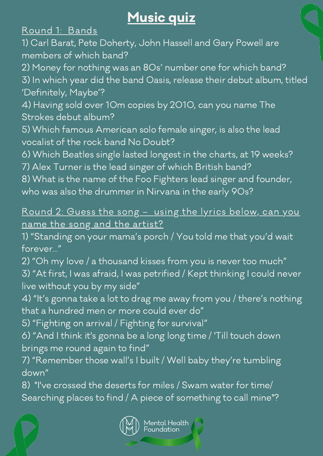# Music quiz

Round 1: Bands

1) Carl Barat, Pete Doherty, John Hassell and Gary Powell are members of which band?

2) Money for nothing was an 80s' number one for which band?

3) In which year did the band Oasis, release their debut album, titled 'Definitely, Maybe'?

## Round 2: Guess the song - using the lyrics below, can you name the song and the artist? 1) "Standing on your mama's porch / You told me that you 'd wait

- 4) Having sold over 10m copies by 2010, can you name The Strokes debut album?
- 5) Which famous American solo female singer, is also the lead vocalist of the rock band No Doubt?
- 6) Which Beatles single lasted longest in the charts, at 19 weeks?
- 7) Alex Turner is the lead singer of which British band?
- 8) What is the name of the Foo Fighters lead singer and founder, who was also the drummer in Nirvana in the early 90s?

forever..."

- 2) "Oh my love / a thousand kisses from you is never too much"
- 3) "At first, I was afraid, I was petrified / Kept thinking I could never live without you by my side"
- 4) "It's gonna take a lot to drag me away from you / there's nothing that a hundred men or more could ever do"
- 5) "Fighting on arrival / Fighting for survival"
- 6) "And I think it's gonna be a long long time / 'Till touch down brings me round again to find"
- 7) "Remember those wall's I built / Well baby they 're tumbling down"
- 8) "I've crossed the deserts for miles / Swam water for time/ Searching places to find / A piece of something to call mine"?

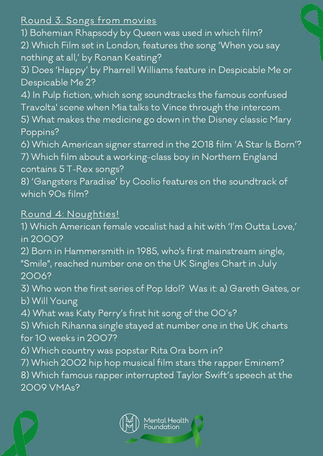### Round 3: Songs from movies

1) Bohemian Rhapsody by Queen was used in which film?

3) Does 'Happy ' by Pharrell Williams feature in Despicable Me or Despicable Me 2?

2) Which Film set in London, features the song 'When you say nothing at all, ' by Ronan Keating?

5) What makes the medicine go down in the Disney classic Mary Poppins?

4) In Pulp fiction, which song soundtracks the famous confused Travolta' scene when Mia talks to Vince through the intercom.

6) Which American signer starred in the 2018 film 'A Star Is Born'? 7) Which film about a working-class boy in Northern England contains 5 T-Rex songs? 8) 'Gangsters Paradise' by Coolio features on the soundtrack of

which 90s film?

#### Round 4: Noughties!

1) Which American female vocalist had a hit with 'I'm Outta Love, ' in 2000?

- 2) Born in Hammersmith in 1985, who's first mainstream single, "Smile" , reached number one on the UK Singles Chart in July 2006?
- 3) Who won the first series of Pop Idol? Was it: a) Gareth Gates, or b) Will Young
- 4) What was Katy Perry 's first hit song of the 00's?
- 5) Which Rihanna single stayed at number one in the UK charts for 10 weeks in 2007?
- 6) Which country was popstar Rita Ora born in?
- 7) Which 2002 hip hop musical film stars the rapper Eminem? 8) Which famous rapper interrupted Taylor Swift's speech at the 2009 VMAs?